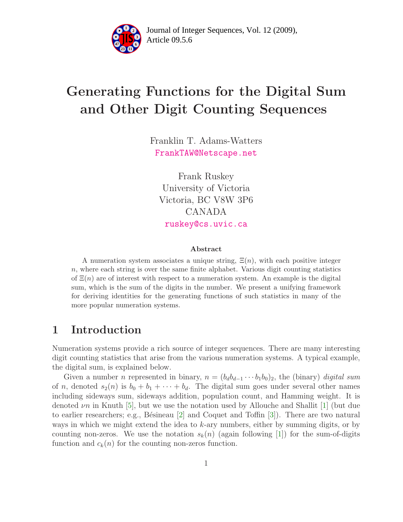

Article 09.5.6 **<sup>2</sup>** Journal of Integer Sequences, Vol. 12 (2009),

# Generating Functions for the Digital Sum and Other Digit Counting Sequences

Franklin T. Adams-Watters [FrankTAW@Netscape.net](mailto:FrankTAW@Netscape.net)

Frank Ruskey University of Victoria Victoria, BC V8W 3P6 CANADA [ruskey@cs.uvic.ca](mailto:ruskey@cs.uvic.ca)

#### Abstract

A numeration system associates a unique string,  $E(n)$ , with each positive integer  $n$ , where each string is over the same finite alphabet. Various digit counting statistics of  $\Xi(n)$  are of interest with respect to a numeration system. An example is the digital sum, which is the sum of the digits in the number. We present a unifying framework for deriving identities for the generating functions of such statistics in many of the more popular numeration systems.

#### 1 Introduction

Numeration systems provide a rich source of integer sequences. There are many interesting digit counting statistics that arise from the various numeration systems. A typical example, the digital sum, is explained below.

Given a number *n* represented in binary,  $n = (b_d b_{d-1} \cdots b_1 b_0)_2$ , the (binary) *digital sum* of n, denoted  $s_2(n)$  is  $b_0 + b_1 + \cdots + b_d$ . The digital sum goes under several other names including sideways sum, sideways addition, population count, and Hamming weight. It is denoted  $\nu$ n in Knuth [\[5\]](#page-7-0), but we use the notation used by Allouche and Shallit [\[1\]](#page-7-1) (but due to earlier researchers; e.g., Bésineau  $|2|$  and Coquet and Toffin  $|3|$ ). There are two natural ways in which we might extend the idea to k-ary numbers, either by summing digits, or by counting non-zeros. We use the notation  $s_k(n)$  (again following [\[1\]](#page-7-1)) for the sum-of-digits function and  $c_k(n)$  for the counting non-zeros function.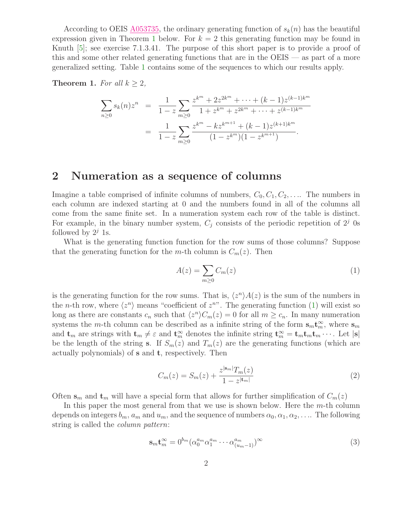According to OEIS [A053735,](http://www.research.att.com/cgi-bin/access.cgi/as/~njas/sequences/eisA.cgi?Anum=A053735) the ordinary generating function of  $s_k(n)$  has the beautiful expression given in Theorem [1](#page-1-0) below. For  $k = 2$  this generating function may be found in Knuth [\[5\]](#page-7-0); see exercise 7.1.3.41. The purpose of this short paper is to provide a proof of this and some other related generating functions that are in the OEIS — as part of a more generalized setting. Table [1](#page-5-0) contains some of the sequences to which our results apply.

<span id="page-1-0"></span>**Theorem 1.** For all  $k \geq 2$ ,

$$
\sum_{n\geq 0} s_k(n) z^n = \frac{1}{1-z} \sum_{m\geq 0} \frac{z^{k^m} + 2z^{2k^m} + \dots + (k-1)z^{(k-1)k^m}}{1 + z^{k^m} + z^{2k^m} + \dots + z^{(k-1)k^m}}
$$

$$
= \frac{1}{1-z} \sum_{m\geq 0} \frac{z^{k^m} - kz^{k^{m+1}} + (k-1)z^{(k+1)k^m}}{(1-z^{k^m})(1-z^{k^{m+1}})}.
$$

#### 2 Numeration as a sequence of columns

Imagine a table comprised of infinite columns of numbers,  $C_0, C_1, C_2, \ldots$ . The numbers in each column are indexed starting at 0 and the numbers found in all of the columns all come from the same finite set. In a numeration system each row of the table is distinct. For example, in the binary number system,  $C_i$  consists of the periodic repetition of  $2<sup>j</sup>$  0s followed by  $2^j$  1s.

What is the generating function function for the row sums of those columns? Suppose that the generating function for the m-th column is  $C_m(z)$ . Then

<span id="page-1-1"></span>
$$
A(z) = \sum_{m \ge 0} C_m(z) \tag{1}
$$

is the generating function for the row sums. That is,  $\langle z^n \rangle A(z)$  is the sum of the numbers in the *n*-th row, where  $\langle z^n \rangle$  means "coefficient of  $z^n$ ". The generating function [\(1\)](#page-1-1) will exist so long as there are constants  $c_n$  such that  $\langle z^n \rangle C_m(z) = 0$  for all  $m \geq c_n$ . In many numeration systems the *m*-th column can be described as a infinite string of the form  $\mathbf{s}_{m} \mathbf{t}_{m}^{\infty}$ , where  $\mathbf{s}_{m}$ and  $\mathbf{t}_m$  are strings with  $\mathbf{t}_m \neq \varepsilon$  and  $\mathbf{t}_m^{\infty}$  denotes the infinite string  $\mathbf{t}_m^{\infty} = \mathbf{t}_m \mathbf{t}_m \mathbf{t}_m \cdots$ . Let  $|\mathbf{s}|$ be the length of the string s. If  $S_m(z)$  and  $T_m(z)$  are the generating functions (which are actually polynomials) of s and t, respectively. Then

<span id="page-1-2"></span>
$$
C_m(z) = S_m(z) + \frac{z^{|\mathbf{s}_m|} T_m(z)}{1 - z^{|\mathbf{t}_m|}}
$$
(2)

Often  $s_m$  and  $t_m$  will have a special form that allows for further simplification of  $C_m(z)$ 

In this paper the most general from that we use is shown below. Here the  $m$ -th column depends on integers  $b_m$ ,  $a_m$  and  $u_m$ , and the sequence of numbers  $\alpha_0, \alpha_1, \alpha_2, \ldots$ . The following string is called the column pattern:

<span id="page-1-3"></span>
$$
\mathbf{s}_{m}\mathbf{t}_{m}^{\infty} = 0^{b_{m}} (\alpha_{0}^{a_{m}} \alpha_{1}^{a_{m}} \cdots \alpha_{(u_{m}-1)}^{a_{m}})^{\infty}
$$
\n(3)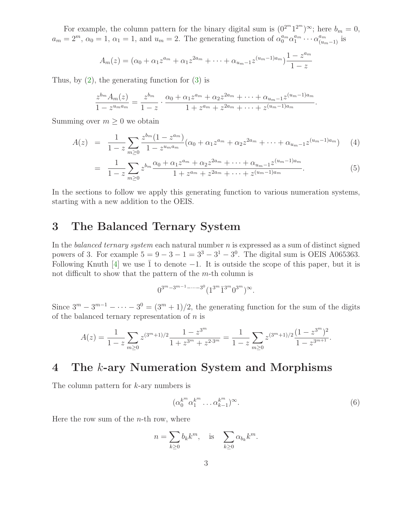For example, the column pattern for the binary digital sum is  $(0^{2^m}1^{2^m})^{\infty}$ ; here  $b_m = 0$ ,  $a_m = 2^m$ ,  $\alpha_0 = 1$ ,  $\alpha_1 = 1$ , and  $u_m = 2$ . The generating function of  $\alpha_0^{a_m} \alpha_1^{a_m}$  $u_1^{a_m} \cdots \alpha_{(u_m-1)}^{a_m}$  is

$$
A_m(z) = (\alpha_0 + \alpha_1 z^{a_m} + \alpha_1 z^{2a_m} + \dots + \alpha_{u_m-1} z^{(u_m-1)a_m}) \frac{1 - z^{a_m}}{1 - z}
$$

Thus, by  $(2)$ , the generating function for  $(3)$  is

$$
\frac{z^{b_m}A_m(z)}{1-z^{u_m a_m}}=\frac{z^{b_m}}{1-z}\cdot\frac{\alpha_0+\alpha_1 z^{a_m}+\alpha_2 z^{2a_m}+\cdots+\alpha_{u_m-1} z^{(u_m-1)a_m}}{1+z^{a_m}+z^{2a_m}+\cdots+z^{(u_m-1)a_m}}.
$$

<span id="page-2-1"></span>Summing over  $m \geq 0$  we obtain

$$
A(z) = \frac{1}{1-z} \sum_{m \ge 0} \frac{z^{b_m} (1 - z^{a_m})}{1 - z^{u_m a_m}} (\alpha_0 + \alpha_1 z^{a_m} + \alpha_2 z^{2a_m} + \dots + \alpha_{u_m - 1} z^{(u_m - 1)a_m}) \tag{4}
$$

$$
= \frac{1}{1-z} \sum_{m\geq 0} z^{b_m} \frac{\alpha_0 + \alpha_1 z^{a_m} + \alpha_2 z^{2a_m} + \dots + \alpha_{u_m-1} z^{(u_m-1)a_m}}{1 + z^{a_m} + z^{2a_m} + \dots + z^{(u_m-1)a_m}}.
$$
(5)

In the sections to follow we apply this generating function to various numeration systems, starting with a new addition to the OEIS.

### 3 The Balanced Ternary System

In the balanced ternary system each natural number  $n$  is expressed as a sum of distinct signed powers of 3. For example  $5 = 9 - 3 - 1 = 3^3 - 3^1 - 3^0$ . The digital sum is OEIS A065363. Following Knuth [\[4\]](#page-7-4) we use  $\overline{1}$  to denote −1. It is outside the scope of this paper, but it is not difficult to show that the pattern of the  $m$ -th column is

$$
0^{3^m - 3^{m-1} - \dots - 3^0} (1^{3^m} \overline{1}^{3^m} 0^{3^m})^{\infty}.
$$

Since  $3^m - 3^{m-1} - \cdots - 3^0 = (3^m + 1)/2$ , the generating function for the sum of the digits of the balanced ternary representation of  $n$  is

$$
A(z) = \frac{1}{1-z} \sum_{m \ge 0} z^{(3^m+1)/2} \frac{1-z^{3^m}}{1+z^{3^m}+z^{2\cdot 3^m}} = \frac{1}{1-z} \sum_{m \ge 0} z^{(3^m+1)/2} \frac{(1-z^{3^m})^2}{1-z^{3^{m+1}}}.
$$

#### 4 The k-ary Numeration System and Morphisms

The column pattern for k-ary numbers is

<span id="page-2-0"></span>
$$
(\alpha_0^{k^m} \alpha_1^{k^m} \dots \alpha_{k-1}^{k^m})^{\infty}.
$$
\n
$$
(6)
$$

Here the row sum of the  $n$ -th row, where

$$
n = \sum_{k \ge 0} b_k k^m, \quad \text{is} \quad \sum_{k \ge 0} \alpha_{b_k} k^m.
$$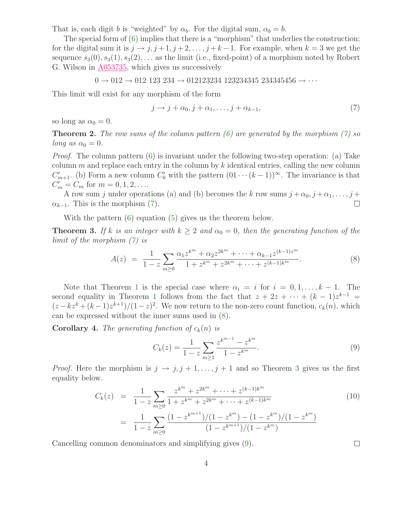That is, each digit b is "weighted" by  $\alpha_b$ . For the digital sum,  $\alpha_b = b$ .

The special form of [\(6\)](#page-2-0) implies that there is a "morphism" that underlies the construction; for the digital sum it is  $j \rightarrow j, j+1, j+2, \ldots, j+k-1$ . For example, when  $k=3$  we get the sequence  $s_3(0), s_3(1), s_3(2), \ldots$  as the limit (i.e., fixed-point) of a morphism noted by Robert G. Wilson in [A053735,](http://www.research.att.com/cgi-bin/access.cgi/as/~njas/sequences/eisA.cgi?Anum=A053735) which gives us successively

$$
0 \to 012 \to 012 \ 123 \ 234 \to 012123234 \ 123234345 \ 234345456 \to \cdots
$$

This limit will exist for any morphism of the form

<span id="page-3-0"></span>
$$
j \to j + \alpha_0, j + \alpha_1, \dots, j + \alpha_{k-1}, \tag{7}
$$

so long as  $\alpha_0 = 0$ .

**Theorem 2.** The row sums of the column pattern  $(6)$  are generated by the morphism  $(7)$  so long as  $\alpha_0 = 0$ .

*Proof.* The column pattern  $(6)$  is invariant under the following two-step operation: (a) Take column  $m$  and replace each entry in the column by  $k$  identical entries, calling the new column  $C'_{m+1}$ . (b) Form a new column  $C'_{0}$  with the pattern  $(01 \cdots (k-1))^{\infty}$ . The invariance is that  $C'_m = C_m$  for  $m = 0, 1, 2, \dots$ 

A row sum j under operations (a) and (b) becomes the k row sums  $j + \alpha_0, j + \alpha_1, \ldots, j + \alpha_n$  $\alpha_{k-1}$ . This is the morphism [\(7\)](#page-3-0).  $\Box$ 

With the pattern  $(6)$  equation  $(5)$  gives us the theorem below.

**Theorem 3.** If k is an integer with  $k \geq 2$  and  $\alpha_0 = 0$ , then the generating function of the limit of the morphism [\(7\)](#page-3-0) is

<span id="page-3-1"></span>
$$
A(z) = \frac{1}{1-z} \sum_{m \ge 0} \frac{\alpha_1 z^{k^m} + \alpha_2 z^{2k^m} + \dots + \alpha_{k-1} z^{(k-1)z^m}}{1 + z^{k^m} + z^{2k^m} + \dots + z^{(k-1)k^m}}.
$$
(8)

Note that Theorem [1](#page-1-0) is the special case where  $\alpha_i = i$  for  $i = 0, 1, \ldots, k - 1$ . The second equality in Theorem [1](#page-1-0) follows from the fact that  $z + 2z + \cdots + (k-1)z^{k-1} =$  $(z - kz^k + (k-1)z^{k+1})/(1-z)^2$ . We now return to the non-zero count function,  $c_k(n)$ , which can be expressed without the inner sums used in [\(8\)](#page-3-1).

**Corollary 4.** The generating function of  $c_k(n)$  is

<span id="page-3-2"></span>
$$
C_k(z) = \frac{1}{1-z} \sum_{m \ge 1} \frac{z^{k^{m-1}} - z^{k^m}}{1 - z^{k^m}}.
$$
\n(9)

<span id="page-3-3"></span>*Proof.* Here the morphism is  $j \rightarrow j, j+1, \ldots, j+1$  and so Theorem [3](#page-3-1) gives us the first equality below.

$$
C_k(z) = \frac{1}{1-z} \sum_{m\geq 0} \frac{z^{k^m} + z^{2k^m} + \dots + z^{(k-1)k^m}}{1+z^{k^m} + z^{2k^m} + \dots + z^{(k-1)k^m}}
$$
(10)  

$$
= \frac{1}{1-z} \sum_{m\geq 0} \frac{(1-z^{k^{m+1}})/(1-z^{k^m}) - (1-z^{k^m})/(1-z^{k^m})}{(1-z^{k^{m+1}})/(1-z^{k^m})}
$$

Cancelling common denominators and simplifying gives [\(9\)](#page-3-2).

 $\Box$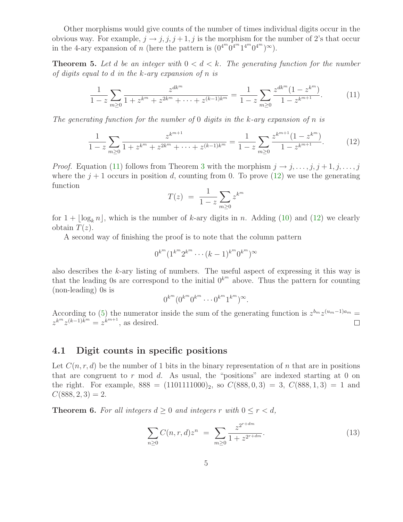Other morphisms would give counts of the number of times individual digits occur in the obvious way. For example,  $j \rightarrow j, j, j+1, j$  is the morphism for the number of 2's that occur in the 4-ary expansion of *n* (here the pattern is  $(0^{4^m}0^{4^m}1^{4^m}0^{4^m})^{\infty}$ ).

**Theorem 5.** Let d be an integer with  $0 < d < k$ . The generating function for the number of digits equal to d in the  $k$ -ary expansion of n is

<span id="page-4-0"></span>
$$
\frac{1}{1-z} \sum_{m\geq 0} \frac{z^{dk^m}}{1+z^{k^m}+z^{2k^m}+\cdots+z^{(k-1)k^m}} = \frac{1}{1-z} \sum_{m\geq 0} \frac{z^{dk^m}(1-z^{k^m})}{1-z^{k^{m+1}}}.
$$
(11)

The generating function for the number of 0 digits in the k-ary expansion of n is

$$
\frac{1}{1-z} \sum_{m\geq 0} \frac{z^{k^{m+1}}}{1+z^{k^m}+z^{2k^m}+\cdots+z^{(k-1)k^m}} = \frac{1}{1-z} \sum_{m\geq 0} \frac{z^{k^{m+1}}(1-z^{k^m})}{1-z^{k^{m+1}}}.
$$
(12)

*Proof.* Equation [\(11\)](#page-4-0) follows from Theorem [3](#page-3-1) with the morphism  $j \rightarrow j, \ldots, j, j+1, j, \ldots, j$ where the  $j+1$  occurs in position d, counting from 0. To prove [\(12\)](#page-4-1) we use the generating function

<span id="page-4-1"></span>
$$
T(z) = \frac{1}{1-z} \sum_{m \ge 0} z^{k^m}
$$

for  $1 + |\log_k n|$ , which is the number of k-ary digits in n. Adding [\(10\)](#page-3-3) and [\(12\)](#page-4-1) we clearly obtain  $T(z)$ .

A second way of finishing the proof is to note that the column pattern

$$
0^{k^{m}} (1^{k^{m}} 2^{k^{m}} \cdots (k-1)^{k^{m}} 0^{k^{m}})^{\infty}
$$

also describes the  $k$ -ary listing of numbers. The useful aspect of expressing it this way is that the leading 0s are correspond to the initial  $0^{k^m}$  above. Thus the pattern for counting (non-leading) 0s is

$$
0^{k^m} (0^{k^m} 0^{k^m} \cdots 0^{k^m} 1^{k^m})^{\infty}.
$$

According to [\(5\)](#page-2-1) the numerator inside the sum of the generating function is  $z^{b_m}z^{(u_m-1)a_m}$  $z^{k^m} z^{(k-1)k^m} = z^{k^{m+1}}$ , as desired.  $\Box$ 

#### 4.1 Digit counts in specific positions

Let  $C(n, r, d)$  be the number of 1 bits in the binary representation of n that are in positions that are congruent to  $r \mod d$ . As usual, the "positions" are indexed starting at 0 on the right. For example,  $888 = (1101111000)_2$ , so  $C(888, 0, 3) = 3$ ,  $C(888, 1, 3) = 1$  and  $C(888, 2, 3) = 2.$ 

**Theorem 6.** For all integers  $d \geq 0$  and integers r with  $0 \leq r < d$ ,

<span id="page-4-2"></span>
$$
\sum_{n\geq 0} C(n,r,d) z^n = \sum_{m\geq 0} \frac{z^{2^{r+dm}}}{1+z^{2^{r+dm}}}.
$$
\n(13)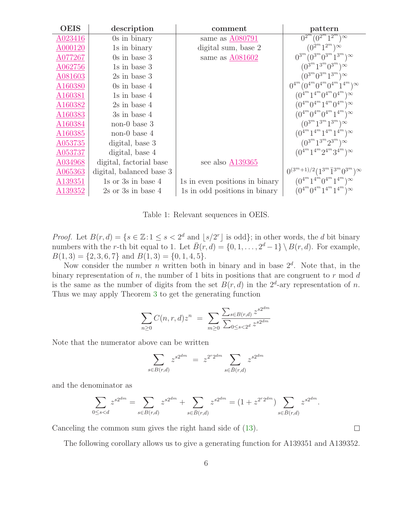| <b>OEIS</b>         | description              | comment                        | pattern                                                                   |
|---------------------|--------------------------|--------------------------------|---------------------------------------------------------------------------|
| A023416             | 0s in binary             | same as A080791                | $\sqrt{0^{2^m}(0^{2^m}1^{2^m})^{\infty}}$                                 |
| A000120             | 1s in binary             | digital sum, base 2            | $(0^{2^m}1^{2^m})^{\infty}$                                               |
| A077267             | $0s$ in base 3           | same as A081602                | $0^{3^m} (0^{3^m} 0^{3^m} 1^{3^m})^{\infty}$                              |
| A062756             | 1s in base 3             |                                | $(0^{3^m}1^{3^m}0^{3^m})^{\infty}$                                        |
| A081603             | $2s$ in base 3           |                                | $(0^{3^m} 0^{3^m} 1^{3^m})^{\infty}$                                      |
| A <sub>160380</sub> | $0s$ in base 4           |                                | $0^{4^m} (0^{4^m} 0^{4^m} 0^{4^m} 1^{4^m})^{\infty}$                      |
| A <sub>160381</sub> | $1s$ in base $4$         |                                | $(0^{4^m}1^{4^m}0^{4^m}0^{4^m})^{\infty}$                                 |
| A160382             | $2s$ in base 4           |                                | $(0^{4^m}0^{4^m}1^{4^m}0^{4^m})^{\infty}$                                 |
| A <sub>160383</sub> | $3s$ in base 4           |                                | $(0^{4^m} 0^{4^m} 0^{4^m} 1^{4^m})^{\infty}$                              |
| A160384             | $non-0$ base 3           |                                | $(0^{3^m}1^{3^m}1^{3^m})^{\infty}$                                        |
| A <sub>160385</sub> | non-0 base $4$           |                                | $(0^{4^m}1^{4^m}1^{4^m}1^{4^m})^{\infty}$                                 |
| A053735             | digital, base 3          |                                | $(0^{3^m}1^{3^m}2^{3^m})^{\infty}$                                        |
| A053737             | digital, base 4          |                                | $(0^{4^m}1^{4^m}2^{4^m}3^{4^m})^{\infty}$                                 |
| A034968             | digital, factorial base  | see also A139365               |                                                                           |
| A065363             | digital, balanced base 3 |                                | $0^{(3^{m}+1)/2} (1^{3^{m}} \overline{1}^{3^{m}} 0^{3^{m}})$ <sup>∞</sup> |
| A139351             | 1s or $3s$ in base 4     | 1s in even positions in binary | $(0^{4^m} 1^{4^m} 0^{4^m} 1^{4^m})^{\infty}$                              |
| A139352             | $2s$ or $3s$ in base $4$ | 1s in odd positions in binary  | $(0^{4^m}0^{4^m}1^{4^m}1^{4^m})^{\infty}$                                 |

<span id="page-5-0"></span>Table 1: Relevant sequences in OEIS.

*Proof.* Let  $B(r, d) = \{s \in \mathbb{Z} : 1 \le s < 2^d \text{ and } \lfloor s/2^r \rfloor \text{ is odd} \}$ ; in other words, the d bit binary numbers with the r-th bit equal to 1. Let  $\overline{B}(r, d) = \{0, 1, \ldots, 2^d - 1\} \setminus B(r, d)$ . For example,  $B(1,3) = \{2, 3, 6, 7\}$  and  $B(1,3) = \{0, 1, 4, 5\}.$ 

Now consider the number *n* written both in binary and in base  $2<sup>d</sup>$ . Note that, in the binary representation of n, the number of 1 bits in positions that are congruent to  $r \mod d$ is the same as the number of digits from the set  $B(r, d)$  in the  $2^d$ -ary representation of n. Thus we may apply Theorem [3](#page-3-1) to get the generating function

$$
\sum_{n\geq 0} C(n,r,d) z^n = \sum_{m\geq 0} \frac{\sum_{s\in B(r,d)} z^{s2^{dm}}}{\sum_{0\leq s < 2^d} z^{s2^{dm}}}
$$

Note that the numerator above can be written

$$
\sum_{s \in B(r,d)} z^{s2^{dm}} = z^{2^r 2^{dm}} \sum_{s \in \bar{B}(r,d)} z^{s2^{dm}}
$$

and the denominator as

$$
\sum_{0 \le s < d} z^{s2^{dm}} = \sum_{s \in B(r,d)} z^{s2^{dm}} + \sum_{s \in \bar{B}(r,d)} z^{s2^{dm}} = (1 + z^{2^r 2^{dm}}) \sum_{s \in \bar{B}(r,d)} z^{s2^{dm}}.
$$

Canceling the common sum gives the right hand side of [\(13\)](#page-4-2).

The following corollary allows us to give a generating function for A139351 and A139352.

 $\Box$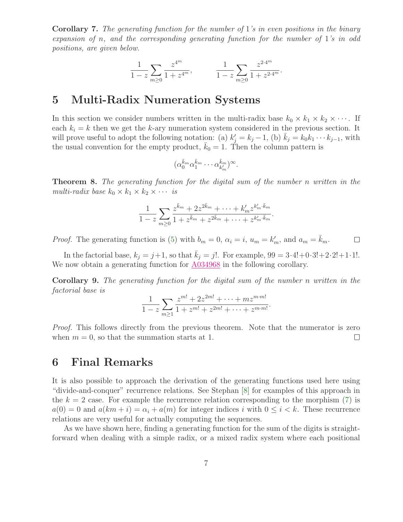**Corollary 7.** The generating function for the number of 1's in even positions in the binary expansion of n, and the corresponding generating function for the number of 1's in odd positions, are given below.

$$
\frac{1}{1-z}\sum_{m\geq 0}\frac{z^{4^m}}{1+z^{4^m}},\qquad \ \ \frac{1}{1-z}\sum_{m\geq 0}\frac{z^{2\cdot 4^m}}{1+z^{2\cdot 4^m}}.
$$

## 5 Multi-Radix Numeration Systems

In this section we consider numbers written in the multi-radix base  $k_0 \times k_1 \times k_2 \times \cdots$ . If each  $k_i = k$  then we get the k-ary numeration system considered in the previous section. It will prove useful to adopt the following notation: (a)  $k'_j = k_j - 1$ , (b)  $\bar{k}_j = k_0 k_1 \cdots k_{j-1}$ , with the usual convention for the empty product,  $k_0 = 1$ . Then the column pattern is

$$
(\alpha_0^{\bar{k}_m}\alpha_1^{\bar{k}_m}\cdots \alpha_{k'_m}^{\bar{k}_m})^{\infty}.
$$

**Theorem 8.** The generating function for the digital sum of the number n written in the multi-radix base  $k_0 \times k_1 \times k_2 \times \cdots$  is

$$
\frac{1}{1-z}\sum_{m\geq 0}\frac{z^{\bar{k}_m}+2z^{2\bar{k}_m}+\cdots+k'_m z^{k'_m\cdot\bar{k}_m}}{1+z^{\bar{k}_m}+z^{2\bar{k}_m}+\cdots+z^{k'_m\cdot\bar{k}_m}}.
$$

*Proof.* The generating function is [\(5\)](#page-2-1) with  $b_m = 0$ ,  $\alpha_i = i$ ,  $u_m = k'_m$ , and  $a_m = \overline{k}_m$ .  $\Box$ 

In the factorial base,  $k_j = j+1$ , so that  $k_j = j!$ . For example,  $99 = 3 \cdot 4! + 0 \cdot 3! + 2 \cdot 2! + 1 \cdot 1!$ . We now obtain a generating function for  $A034968$  in the following corollary.

Corollary 9. The generating function for the digital sum of the number n written in the factorial base is

$$
\frac{1}{1-z}\sum_{m\geq 1}\frac{z^{m!}+2z^{2m!}+\cdots+mz^{m\cdot m!}}{1+z^{m!}+z^{2m!}+\cdots+z^{m\cdot m!}}.
$$

*Proof.* This follows directly from the previous theorem. Note that the numerator is zero when  $m = 0$ , so that the summation starts at 1.  $\Box$ 

#### 6 Final Remarks

It is also possible to approach the derivation of the generating functions used here using "divide-and-conquer" recurrence relations. See Stephan [\[8\]](#page-7-5) for examples of this approach in the  $k = 2$  case. For example the recurrence relation corresponding to the morphism  $(7)$  is  $a(0) = 0$  and  $a(km + i) = \alpha_i + a(m)$  for integer indices i with  $0 \leq i \leq k$ . These recurrence relations are very useful for actually computing the sequences.

As we have shown here, finding a generating function for the sum of the digits is straightforward when dealing with a simple radix, or a mixed radix system where each positional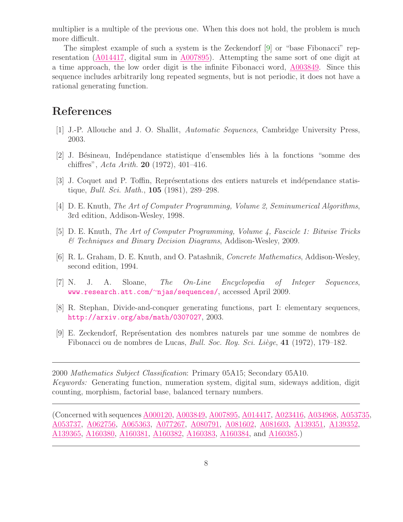multiplier is a multiple of the previous one. When this does not hold, the problem is much more difficult.

The simplest example of such a system is the Zeckendorf [\[9\]](#page-7-6) or "base Fibonacci" representation [\(A014417,](http://www.research.att.com/cgi-bin/access.cgi/as/~njas/sequences/eisA.cgi?Anum=A014417) digital sum in [A007895\)](http://www.research.att.com/cgi-bin/access.cgi/as/~njas/sequences/eisA.cgi?Anum=A007895). Attempting the same sort of one digit at a time approach, the low order digit is the infinite Fibonacci word, [A003849.](http://www.research.att.com/cgi-bin/access.cgi/as/~njas/sequences/eisA.cgi?Anum=A003849) Since this sequence includes arbitrarily long repeated segments, but is not periodic, it does not have a rational generating function.

### <span id="page-7-1"></span>References

- <span id="page-7-2"></span>[1] J.-P. Allouche and J. O. Shallit, Automatic Sequences, Cambridge University Press, 2003.
- <span id="page-7-3"></span>[2] J. Bésineau, Indépendance statistique d'ensembles liés à la fonctions "somme des chiffres", Acta Arith. 20 (1972), 401–416.
- [3] J. Coquet and P. Toffin, Représentations des entiers naturels et indépendance statistique, Bull. Sci. Math., 105 (1981), 289–298.
- <span id="page-7-4"></span><span id="page-7-0"></span>[4] D. E. Knuth, The Art of Computer Programming, Volume 2, Seminumerical Algorithms, 3rd edition, Addison-Wesley, 1998.
- [5] D. E. Knuth, The Art of Computer Programming, Volume 4, Fascicle 1: Bitwise Tricks & Techniques and Binary Decision Diagrams, Addison-Wesley, 2009.
- [6] R. L. Graham, D. E. Knuth, and O. Patashnik, Concrete Mathematics, Addison-Wesley, second edition, 1994.
- <span id="page-7-5"></span>[7] N. J. A. Sloane, The On-Line Encyclopedia of Integer Sequences, [www.research.att.com/](www.research.att.com/~njas/sequences/)<sup>∼</sup>njas/sequences/, accessed April 2009.
- [8] R. Stephan, Divide-and-conquer generating functions, part I: elementary sequences, <http://arxiv.org/abs/math/0307027>, 2003.
- <span id="page-7-6"></span>[9] E. Zeckendorf, Repr´esentation des nombres naturels par une somme de nombres de Fibonacci ou de nombres de Lucas, *Bull. Soc. Roy. Sci. Liège*, 41 (1972), 179–182.

2000 Mathematics Subject Classification: Primary 05A15; Secondary 05A10. Keywords: Generating function, numeration system, digital sum, sideways addition, digit counting, morphism, factorial base, balanced ternary numbers.

(Concerned with sequences [A000120,](http://www.research.att.com/cgi-bin/access.cgi/as/~njas/sequences/eisA.cgi?Anum=A000120) [A003849,](http://www.research.att.com/cgi-bin/access.cgi/as/~njas/sequences/eisA.cgi?Anum=A003849) [A007895,](http://www.research.att.com/cgi-bin/access.cgi/as/~njas/sequences/eisA.cgi?Anum=A007895) [A014417,](http://www.research.att.com/cgi-bin/access.cgi/as/~njas/sequences/eisA.cgi?Anum=A014417) [A023416,](http://www.research.att.com/cgi-bin/access.cgi/as/~njas/sequences/eisA.cgi?Anum=A023416) [A034968,](http://www.research.att.com/cgi-bin/access.cgi/as/~njas/sequences/eisA.cgi?Anum=A034968) [A053735,](http://www.research.att.com/cgi-bin/access.cgi/as/~njas/sequences/eisA.cgi?Anum=A053735) [A053737,](http://www.research.att.com/cgi-bin/access.cgi/as/~njas/sequences/eisA.cgi?Anum=A053737) [A062756,](http://www.research.att.com/cgi-bin/access.cgi/as/~njas/sequences/eisA.cgi?Anum=A062756) [A065363,](http://www.research.att.com/cgi-bin/access.cgi/as/~njas/sequences/eisA.cgi?Anum=A065363) [A077267,](http://www.research.att.com/cgi-bin/access.cgi/as/~njas/sequences/eisA.cgi?Anum=A077267) [A080791,](http://www.research.att.com/cgi-bin/access.cgi/as/~njas/sequences/eisA.cgi?Anum=A080791) [A081602,](http://www.research.att.com/cgi-bin/access.cgi/as/~njas/sequences/eisA.cgi?Anum=A081602) [A081603,](http://www.research.att.com/cgi-bin/access.cgi/as/~njas/sequences/eisA.cgi?Anum=A081603) [A139351,](http://www.research.att.com/cgi-bin/access.cgi/as/~njas/sequences/eisA.cgi?Anum=A139351) [A139352,](http://www.research.att.com/cgi-bin/access.cgi/as/~njas/sequences/eisA.cgi?Anum=A139352) [A139365,](http://www.research.att.com/cgi-bin/access.cgi/as/~njas/sequences/eisA.cgi?Anum=A139365) [A160380,](http://www.research.att.com/cgi-bin/access.cgi/as/~njas/sequences/eisA.cgi?Anum=A160380) [A160381,](http://www.research.att.com/cgi-bin/access.cgi/as/~njas/sequences/eisA.cgi?Anum=A160381) [A160382,](http://www.research.att.com/cgi-bin/access.cgi/as/~njas/sequences/eisA.cgi?Anum=A160382) [A160383,](http://www.research.att.com/cgi-bin/access.cgi/as/~njas/sequences/eisA.cgi?Anum=A160383) [A160384,](http://www.research.att.com/cgi-bin/access.cgi/as/~njas/sequences/eisA.cgi?Anum=A160384) and [A160385.](http://www.research.att.com/cgi-bin/access.cgi/as/~njas/sequences/eisA.cgi?Anum=A160385))